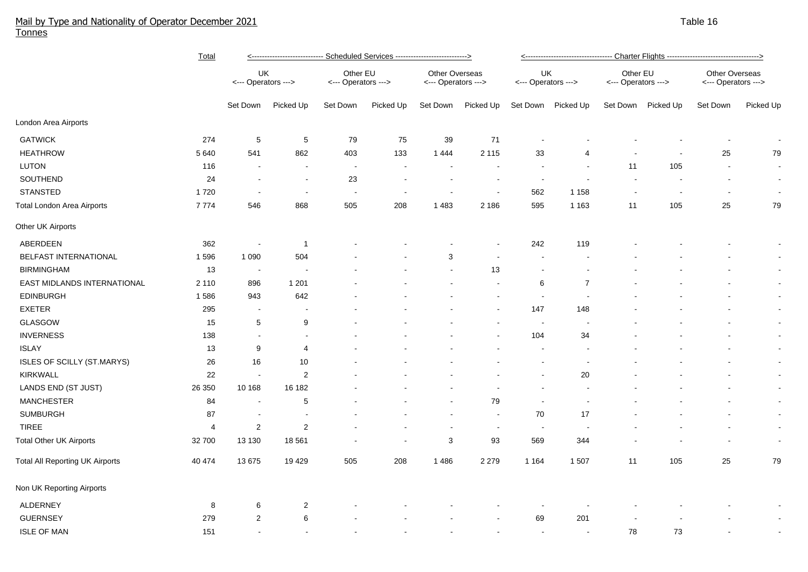## Mail by Type and Nationality of Operator December 2021 Table 16 and the state of the state of the state of the state 16 and the state 16 and the state 16 and the state 16 and the 16 and the state 16 and the state 16 and th Tonnes

|                                        | Total   | <---------------------------- Scheduled Services ---------------------------> |                          |                                 |                          |                                              |                          | <---------------------------------- Charter Flights ----------------------------------> |                          |                                 |           |                                       |           |  |
|----------------------------------------|---------|-------------------------------------------------------------------------------|--------------------------|---------------------------------|--------------------------|----------------------------------------------|--------------------------|-----------------------------------------------------------------------------------------|--------------------------|---------------------------------|-----------|---------------------------------------|-----------|--|
|                                        |         | UK<br><--- Operators --->                                                     |                          | Other EU<br><--- Operators ---> |                          | <b>Other Overseas</b><br><--- Operators ---> |                          | UK<br><--- Operators --->                                                               |                          | Other EU<br><--- Operators ---> |           | Other Overseas<br><--- Operators ---> |           |  |
|                                        |         | Set Down                                                                      | Picked Up                | Set Down                        | Picked Up                | Set Down                                     | Picked Up                | Set Down                                                                                | Picked Up                | Set Down                        | Picked Up | Set Down                              | Picked Up |  |
| London Area Airports                   |         |                                                                               |                          |                                 |                          |                                              |                          |                                                                                         |                          |                                 |           |                                       |           |  |
| <b>GATWICK</b>                         | 274     | 5                                                                             | $\sqrt{5}$               | 79                              | 75                       | 39                                           | 71                       |                                                                                         |                          |                                 |           |                                       | $\sim$    |  |
| <b>HEATHROW</b>                        | 5 6 4 0 | 541                                                                           | 862                      | 403                             | 133                      | 1444                                         | 2 1 1 5                  | 33                                                                                      | 4                        |                                 |           | 25                                    | 79        |  |
| LUTON                                  | 116     |                                                                               |                          | $\blacksquare$                  |                          | $\overline{\phantom{a}}$                     |                          |                                                                                         | $\blacksquare$           | 11                              | 105       | $\blacksquare$                        | $\sim$    |  |
| SOUTHEND                               | 24      |                                                                               | $\blacksquare$           | 23                              |                          | $\overline{\phantom{a}}$                     |                          | $\sim$                                                                                  |                          | $\sim$                          |           | $\blacksquare$                        | $\sim$    |  |
| <b>STANSTED</b>                        | 1720    | $\sim$                                                                        | $\overline{\phantom{a}}$ | $\blacksquare$                  | $\overline{\phantom{a}}$ | $\overline{\phantom{a}}$                     | $\sim$                   | 562                                                                                     | 1 1 5 8                  | $\overline{\phantom{a}}$        |           | $\overline{\phantom{a}}$              | $\sim$    |  |
| <b>Total London Area Airports</b>      | 7774    | 546                                                                           | 868                      | 505                             | 208                      | 1 4 8 3                                      | 2 1 8 6                  | 595                                                                                     | 1 1 6 3                  | 11                              | 105       | 25                                    | 79        |  |
| Other UK Airports                      |         |                                                                               |                          |                                 |                          |                                              |                          |                                                                                         |                          |                                 |           |                                       |           |  |
| ABERDEEN                               | 362     | $\sim$                                                                        | $\overline{1}$           |                                 |                          |                                              |                          | 242                                                                                     | 119                      |                                 |           |                                       |           |  |
| BELFAST INTERNATIONAL                  | 1596    | 1 0 9 0                                                                       | 504                      |                                 |                          | 3                                            |                          |                                                                                         |                          |                                 |           |                                       | $\sim$    |  |
| <b>BIRMINGHAM</b>                      | 13      | $\sim$                                                                        |                          |                                 |                          | $\blacksquare$                               | 13                       | $\blacksquare$                                                                          |                          |                                 |           |                                       | $\sim$    |  |
| EAST MIDLANDS INTERNATIONAL            | 2 1 1 0 | 896                                                                           | 1 2 0 1                  |                                 |                          |                                              |                          | 6                                                                                       | $\overline{7}$           |                                 |           |                                       | $\sim$    |  |
| <b>EDINBURGH</b>                       | 1586    | 943                                                                           | 642                      |                                 |                          |                                              |                          | $\blacksquare$                                                                          |                          |                                 |           |                                       | $\sim$    |  |
| <b>EXETER</b>                          | 295     | $\blacksquare$                                                                | $\blacksquare$           |                                 |                          |                                              |                          | 147                                                                                     | 148                      |                                 |           |                                       | $\sim$    |  |
| GLASGOW                                | 15      | 5                                                                             | 9                        |                                 |                          |                                              |                          | $\sim$                                                                                  |                          |                                 |           |                                       | $\sim$    |  |
| <b>INVERNESS</b>                       | 138     | $\sim$                                                                        | $\sim$                   |                                 |                          |                                              |                          | 104                                                                                     | 34                       |                                 |           |                                       | $\sim$    |  |
| <b>ISLAY</b>                           | 13      | 9                                                                             | 4                        |                                 |                          |                                              |                          | $\sim$                                                                                  | $\blacksquare$           |                                 |           |                                       | $\sim$    |  |
| ISLES OF SCILLY (ST.MARYS)             | 26      | 16                                                                            | 10                       |                                 |                          |                                              |                          | $\sim$                                                                                  | $\overline{\phantom{a}}$ |                                 |           |                                       | $\sim$    |  |
| <b>KIRKWALL</b>                        | 22      | $\sim$                                                                        | $\overline{c}$           |                                 |                          |                                              |                          |                                                                                         | 20                       |                                 |           |                                       | $\sim$    |  |
| LANDS END (ST JUST)                    | 26 350  | 10 168                                                                        | 16 182                   |                                 |                          |                                              |                          |                                                                                         |                          |                                 |           |                                       | $\sim$    |  |
| <b>MANCHESTER</b>                      | 84      | $\overline{\phantom{a}}$                                                      | $\sqrt{5}$               |                                 |                          |                                              | 79                       | $\overline{\phantom{a}}$                                                                | $\overline{\phantom{a}}$ |                                 |           |                                       | $\sim$    |  |
| <b>SUMBURGH</b>                        | 87      |                                                                               | $\overline{a}$           |                                 |                          | $\overline{\phantom{a}}$                     | $\overline{\phantom{a}}$ | 70                                                                                      | 17                       |                                 |           |                                       | $\sim$    |  |
| <b>TIREE</b>                           | 4       | 2                                                                             | 2                        |                                 |                          | $\overline{\phantom{a}}$                     |                          | $\sim$                                                                                  |                          |                                 |           |                                       | $\sim$    |  |
| <b>Total Other UK Airports</b>         | 32 700  | 13 130                                                                        | 18 5 61                  |                                 |                          | $\mathbf{3}$                                 | 93                       | 569                                                                                     | 344                      |                                 |           |                                       | $\sim$    |  |
| <b>Total All Reporting UK Airports</b> | 40 474  | 13675                                                                         | 19 4 29                  | 505                             | 208                      | 1 4 8 6                                      | 2 2 7 9                  | 1 1 6 4                                                                                 | 1507                     | 11                              | 105       | 25                                    | 79        |  |
| Non UK Reporting Airports              |         |                                                                               |                          |                                 |                          |                                              |                          |                                                                                         |                          |                                 |           |                                       |           |  |
| ALDERNEY                               | 8       | 6                                                                             | $\overline{2}$           |                                 |                          |                                              |                          |                                                                                         |                          |                                 |           |                                       |           |  |
| <b>GUERNSEY</b>                        | 279     | $\overline{2}$                                                                | 6                        |                                 |                          |                                              |                          | 69                                                                                      | 201                      |                                 |           |                                       |           |  |
| <b>ISLE OF MAN</b>                     | 151     |                                                                               | $\blacksquare$           |                                 |                          |                                              |                          |                                                                                         |                          | 78                              | 73        |                                       |           |  |